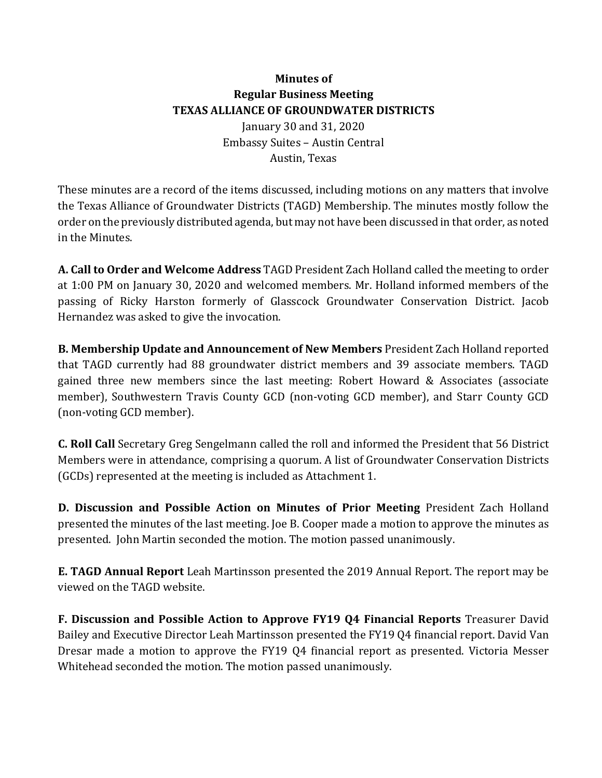## **Minutes** of **Regular Business Meeting TEXAS ALLIANCE OF GROUNDWATER DISTRICTS** January 30 and 31, 2020 Embassy Suites - Austin Central Austin, Texas

These minutes are a record of the items discussed, including motions on any matters that involve the Texas Alliance of Groundwater Districts (TAGD) Membership. The minutes mostly follow the order on the previously distributed agenda, but may not have been discussed in that order, as noted in the Minutes.

**A.** Call to Order and Welcome Address TAGD President Zach Holland called the meeting to order at 1:00 PM on January 30, 2020 and welcomed members. Mr. Holland informed members of the passing of Ricky Harston formerly of Glasscock Groundwater Conservation District. Jacob Hernandez was asked to give the invocation.

**B. Membership Update and Announcement of New Members** President Zach Holland reported that TAGD currently had 88 groundwater district members and 39 associate members. TAGD gained three new members since the last meeting: Robert Howard & Associates (associate) member), Southwestern Travis County GCD (non-voting GCD member), and Starr County GCD (non-voting GCD member).

**C. Roll Call** Secretary Greg Sengelmann called the roll and informed the President that 56 District Members were in attendance, comprising a quorum. A list of Groundwater Conservation Districts (GCDs) represented at the meeting is included as Attachment 1.

**D. Discussion and Possible Action on Minutes of Prior Meeting President Zach Holland** presented the minutes of the last meeting. Joe B. Cooper made a motion to approve the minutes as presented. John Martin seconded the motion. The motion passed unanimously.

**E. TAGD Annual Report** Leah Martinsson presented the 2019 Annual Report. The report may be viewed on the TAGD website.

**F. Discussion and Possible Action to Approve FY19 Q4 Financial Reports** Treasurer David Bailey and Executive Director Leah Martinsson presented the FY19 Q4 financial report. David Van Dresar made a motion to approve the FY19 Q4 financial report as presented. Victoria Messer Whitehead seconded the motion. The motion passed unanimously.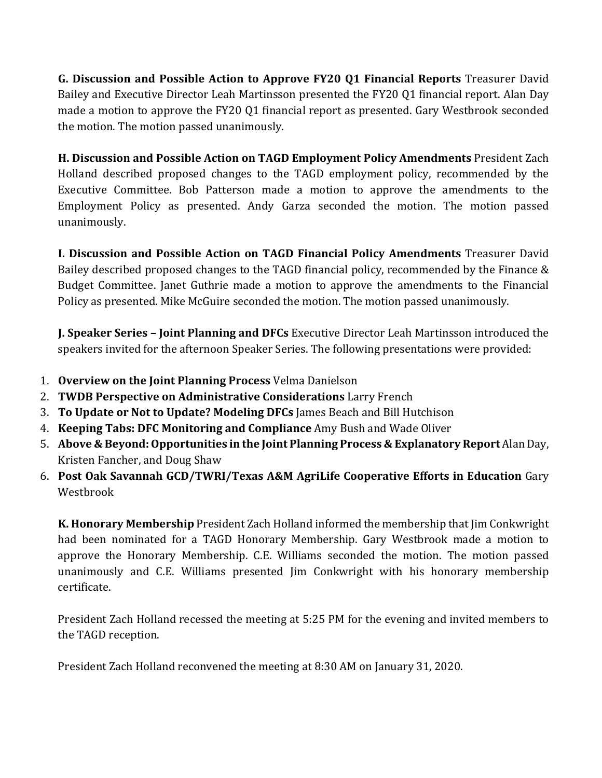**G. Discussion and Possible Action to Approve FY20 Q1 Financial Reports** Treasurer David Bailey and Executive Director Leah Martinsson presented the FY20 Q1 financial report. Alan Day made a motion to approve the FY20 01 financial report as presented. Gary Westbrook seconded the motion. The motion passed unanimously.

**H. Discussion and Possible Action on TAGD Employment Policy Amendments** President Zach Holland described proposed changes to the TAGD employment policy, recommended by the Executive Committee. Bob Patterson made a motion to approve the amendments to the Employment Policy as presented. Andy Garza seconded the motion. The motion passed unanimously.

**I. Discussion and Possible Action on TAGD Financial Policy Amendments** Treasurer David Bailey described proposed changes to the TAGD financial policy, recommended by the Finance & Budget Committee. Janet Guthrie made a motion to approve the amendments to the Financial Policy as presented. Mike McGuire seconded the motion. The motion passed unanimously.

**J. Speaker Series - Joint Planning and DFCs** Executive Director Leah Martinsson introduced the speakers invited for the afternoon Speaker Series. The following presentations were provided:

- 1. **Overview on the Joint Planning Process** Velma Danielson
- 2. **TWDB Perspective on Administrative Considerations** Larry French
- **3. To Update or Not to Update? Modeling DFCs** James Beach and Bill Hutchison
- 4. **Keeping Tabs: DFC Monitoring and Compliance** Amy Bush and Wade Oliver
- 5. Above & Beyond: Opportunities in the Joint Planning Process & Explanatory Report Alan Day, Kristen Fancher, and Doug Shaw
- 6. **Post Oak Savannah GCD/TWRI/Texas A&M AgriLife Cooperative Efforts in Education** Gary Westbrook

**K. Honorary Membership** President Zach Holland informed the membership that Jim Conkwright had been nominated for a TAGD Honorary Membership. Gary Westbrook made a motion to approve the Honorary Membership. C.E. Williams seconded the motion. The motion passed unanimously and C.E. Williams presented Jim Conkwright with his honorary membership certificate.

President Zach Holland recessed the meeting at 5:25 PM for the evening and invited members to the TAGD reception.

President Zach Holland reconvened the meeting at 8:30 AM on January 31, 2020.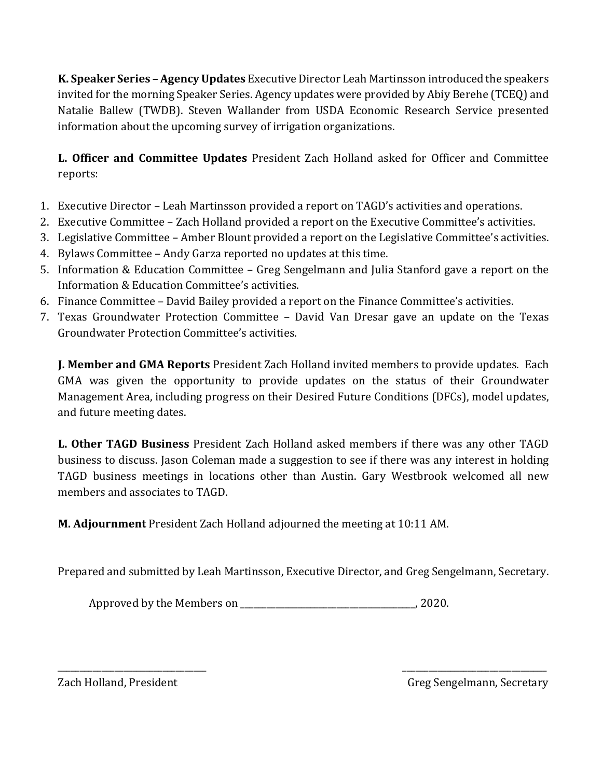**K. Speaker Series - Agency Updates** Executive Director Leah Martinsson introduced the speakers invited for the morning Speaker Series. Agency updates were provided by Abiy Berehe (TCEQ) and Natalie Ballew (TWDB). Steven Wallander from USDA Economic Research Service presented information about the upcoming survey of irrigation organizations.

**L. Officer and Committee Updates** President Zach Holland asked for Officer and Committee reports:

- 1. Executive Director Leah Martinsson provided a report on TAGD's activities and operations.
- 2. Executive Committee Zach Holland provided a report on the Executive Committee's activities.
- 3. Legislative Committee Amber Blount provided a report on the Legislative Committee's activities.
- 4. Bylaws Committee Andy Garza reported no updates at this time.
- 5. Information & Education Committee Greg Sengelmann and Julia Stanford gave a report on the Information & Education Committee's activities.
- 6. Finance Committee David Bailey provided a report on the Finance Committee's activities.
- 7. Texas Groundwater Protection Committee David Van Dresar gave an update on the Texas Groundwater Protection Committee's activities.

**J. Member and GMA Reports** President Zach Holland invited members to provide updates. Each GMA was given the opportunity to provide updates on the status of their Groundwater Management Area, including progress on their Desired Future Conditions (DFCs), model updates, and future meeting dates.

**L. Other TAGD Business** President Zach Holland asked members if there was any other TAGD business to discuss. Jason Coleman made a suggestion to see if there was any interest in holding TAGD business meetings in locations other than Austin. Gary Westbrook welcomed all new members and associates to TAGD.

**M. Adjournment** President Zach Holland adjourned the meeting at 10:11 AM.

Prepared and submitted by Leah Martinsson, Executive Director, and Greg Sengelmann, Secretary.

\_\_\_\_\_\_\_\_\_\_\_\_\_\_\_\_\_\_\_\_\_\_\_\_\_\_\_\_\_\_\_\_\_\_ \_\_\_\_\_\_\_\_\_\_\_\_\_\_\_\_\_\_\_\_\_\_\_\_\_\_\_\_\_\_\_\_\_

Approved by the Members on \_\_\_\_\_\_\_\_\_\_\_\_\_\_\_\_\_\_\_\_\_\_\_\_\_\_\_\_\_\_\_\_\_\_\_\_\_\_\_\_, 2020.

Zach Holland, President Greg Sengelmann, Secretary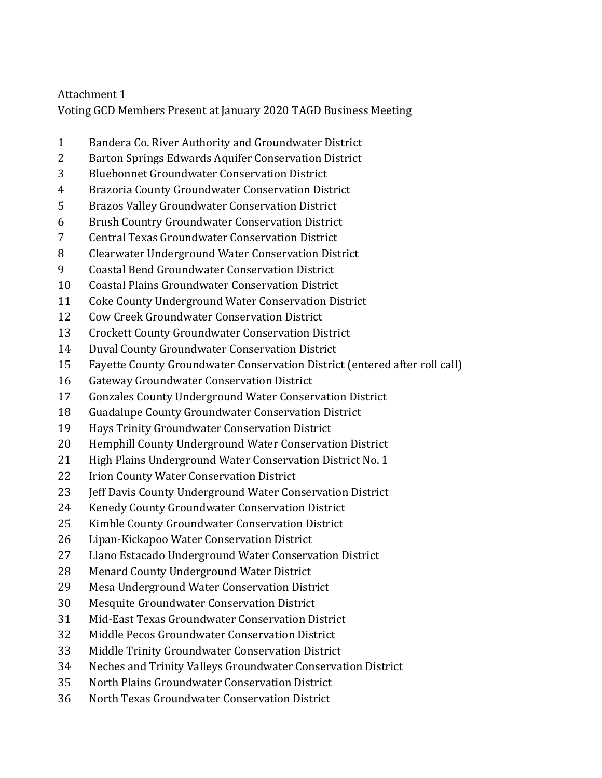## Attachment 1

Voting GCD Members Present at January 2020 TAGD Business Meeting

- 1 Bandera Co. River Authority and Groundwater District
- 2 Barton Springs Edwards Aquifer Conservation District
- 3 Bluebonnet Groundwater Conservation District
- 4 Brazoria County Groundwater Conservation District
- 5 Brazos Valley Groundwater Conservation District
- 6 Brush Country Groundwater Conservation District
- 7 Central Texas Groundwater Conservation District
- 8 Clearwater Underground Water Conservation District
- 9 Coastal Bend Groundwater Conservation District
- 10 Coastal Plains Groundwater Conservation District
- 11 Coke County Underground Water Conservation District
- 12 Cow Creek Groundwater Conservation District
- 13 Crockett County Groundwater Conservation District
- 14 Duval County Groundwater Conservation District
- 15 Fayette County Groundwater Conservation District (entered after roll call)
- 16 Gateway Groundwater Conservation District
- 17 Gonzales County Underground Water Conservation District
- 18 Guadalupe County Groundwater Conservation District
- 19 Hays Trinity Groundwater Conservation District
- 20 Hemphill County Underground Water Conservation District
- 21 High Plains Underground Water Conservation District No. 1
- 22 Irion County Water Conservation District
- 23 **Jeff Davis County Underground Water Conservation District**
- 24 Kenedy County Groundwater Conservation District
- 25 Kimble County Groundwater Conservation District
- 26 Lipan-Kickapoo Water Conservation District
- 27 Llano Estacado Underground Water Conservation District
- 28 Menard County Underground Water District
- 29 Mesa Underground Water Conservation District
- 30 Mesquite Groundwater Conservation District
- 31 Mid-East Texas Groundwater Conservation District
- 32 Middle Pecos Groundwater Conservation District
- 33 Middle Trinity Groundwater Conservation District
- 34 Neches and Trinity Valleys Groundwater Conservation District
- 35 North Plains Groundwater Conservation District
- 36 North Texas Groundwater Conservation District